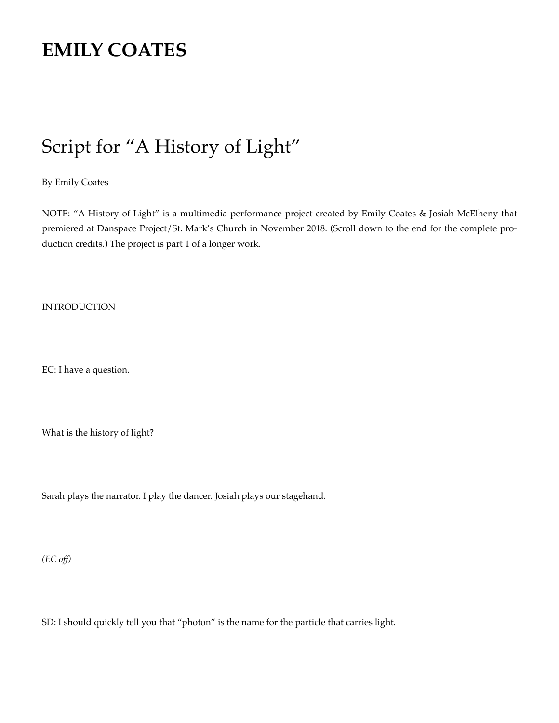# **[EMILY COATES](https://campuspress.yale.edu/emilycoates/)**

# Script for "A History of Light"

By Emily Coates

NOTE: "A History of Light" is a multimedia performance project created by Emily Coates & Josiah McElheny that premiered at Danspace Project/St. Mark's Church in November 2018. (Scroll down to the end for the complete production credits.) The project is part 1 of a longer work.

INTRODUCTION

EC: I have a question.

What is the history of light?

Sarah plays the narrator. I play the dancer. Josiah plays our stagehand.

*(EC of )*

SD: I should quickly tell you that "photon" is the name for the particle that carries light.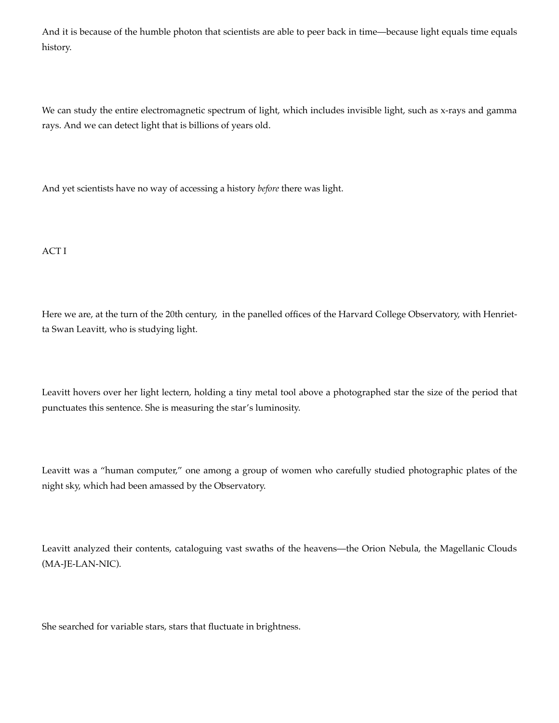And it is because of the humble photon that scientists are able to peer back in time—because light equals time equals history.

We can study the entire electromagnetic spectrum of light, which includes invisible light, such as x-rays and gamma rays. And we can detect light that is billions of years old.

And yet scientists have no way of accessing a history *before* there was light.

ACT I

Here we are, at the turn of the 20th century, in the panelled offices of the Harvard College Observatory, with Henrietta Swan Leavitt, who is studying light.

Leavitt hovers over her light lectern, holding a tiny metal tool above a photographed star the size of the period that punctuates this sentence. She is measuring the star's luminosity.

Leavitt was a "human computer," one among a group of women who carefully studied photographic plates of the night sky, which had been amassed by the Observatory.

Leavitt analyzed their contents, cataloguing vast swaths of the heavens—the Orion Nebula, the Magellanic Clouds (MA-JE-LAN-NIC).

She searched for variable stars, stars that fluctuate in brightness.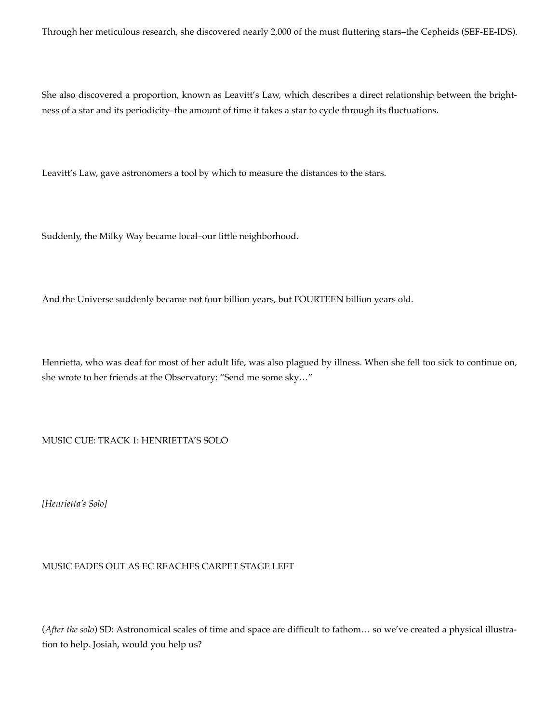Through her meticulous research, she discovered nearly 2,000 of the must fluttering stars–the Cepheids (SEF-EE-IDS).

She also discovered a proportion, known as Leavitt's Law, which describes a direct relationship between the brightness of a star and its periodicity–the amount of time it takes a star to cycle through its fluctuations.

Leavitt's Law, gave astronomers a tool by which to measure the distances to the stars.

Suddenly, the Milky Way became local–our little neighborhood.

And the Universe suddenly became not four billion years, but FOURTEEN billion years old.

Henrietta, who was deaf for most of her adult life, was also plagued by illness. When she fell too sick to continue on, she wrote to her friends at the Observatory: "Send me some sky…"

MUSIC CUE: TRACK 1: HENRIETTA'S SOLO

*[Henrietta's Solo]*

MUSIC FADES OUT AS EC REACHES CARPET STAGE LEFT

(*After the solo*) SD: Astronomical scales of time and space are difficult to fathom… so we've created a physical illustration to help. Josiah, would you help us?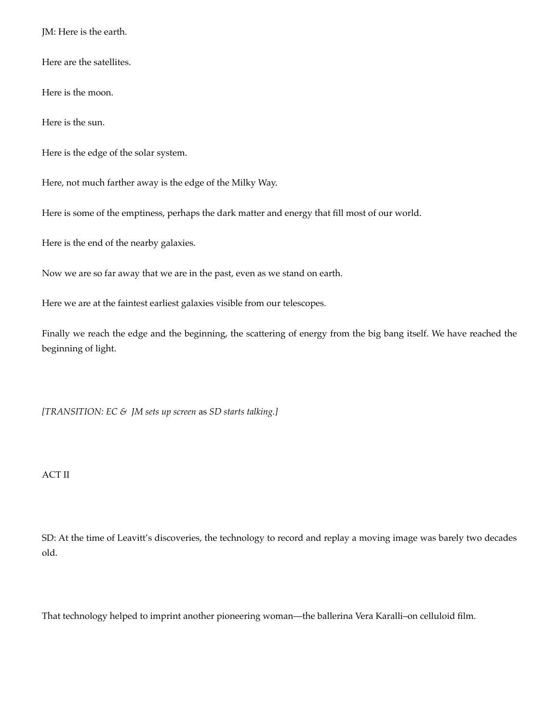JM: Here is the earth.

Here are the satellites.

Here is the moon.

Here is the sun.

Here is the edge of the solar system.

Here, not much farther away is the edge of the Milky Way.

Here is some of the emptiness, perhaps the dark matter and energy that fill most of our world.

Here is the end of the nearby galaxies.

Now we are so far away that we are in the past, even as we stand on earth.

Here we are at the faintest earliest galaxies visible from our telescopes.

Finally we reach the edge and the beginning, the scattering of energy from the big bang itself. We have reached the beginning of light.

*[TRANSITION: EC & JM sets up screen* as *SD starts talking.]*

#### ACT II

SD: At the time of Leavitt's discoveries, the technology to record and replay a moving image was barely two decades old.

That technology helped to imprint another pioneering woman—the ballerina Vera Karalli–on celluloid film.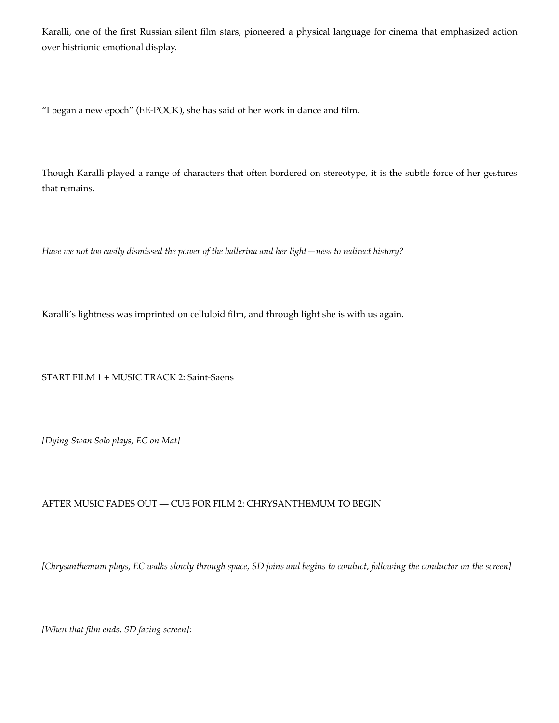Karalli, one of the first Russian silent film stars, pioneered a physical language for cinema that emphasized action over histrionic emotional display.

"I began a new epoch" (EE-POCK), she has said of her work in dance and film.

Though Karalli played a range of characters that often bordered on stereotype, it is the subtle force of her gestures that remains.

*Have we not too easily dismissed the power of the ballerina and her light—ness to redirect history?*

Karalli's lightness was imprinted on celluloid film, and through light she is with us again.

START FILM 1 + MUSIC TRACK 2: Saint-Saens

*[Dying Swan Solo plays, EC on Mat]*

### AFTER MUSIC FADES OUT — CUE FOR FILM 2: CHRYSANTHEMUM TO BEGIN

[Chrysanthemum plays, EC walks slowly through space, SD joins and begins to conduct, following the conductor on the screen]

*[When that film ends, SD facing screen]*: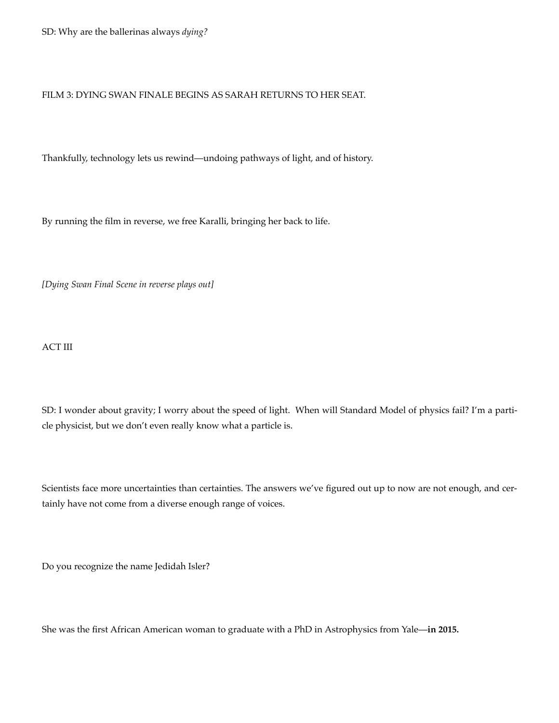#### FILM 3: DYING SWAN FINALE BEGINS AS SARAH RETURNS TO HER SEAT.

Thankfully, technology lets us rewind—undoing pathways of light, and of history.

By running the film in reverse, we free Karalli, bringing her back to life.

*[Dying Swan Final Scene in reverse plays out]*

ACT III

SD: I wonder about gravity; I worry about the speed of light. When will Standard Model of physics fail? I'm a particle physicist, but we don't even really know what a particle is.

Scientists face more uncertainties than certainties. The answers we've figured out up to now are not enough, and certainly have not come from a diverse enough range of voices.

Do you recognize the name Jedidah Isler?

She was the first African American woman to graduate with a PhD in Astrophysics from Yale—**in 2015.**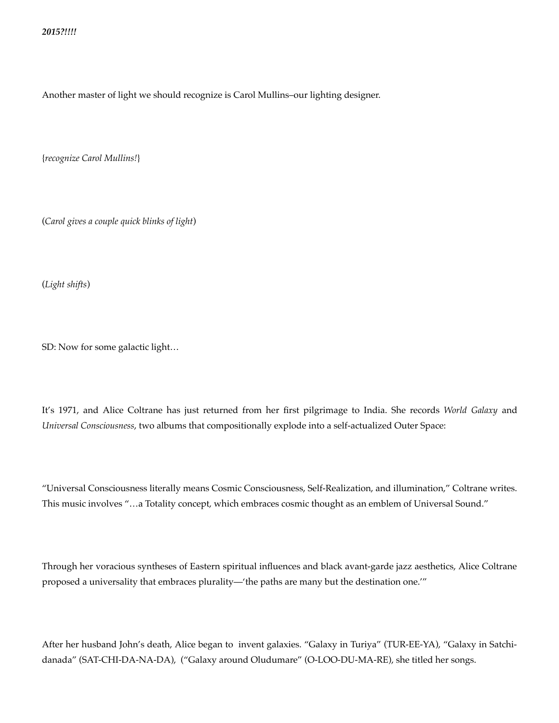Another master of light we should recognize is Carol Mullins–our lighting designer.

{*recognize Carol Mullins!*}

(*Carol gives a couple quick blinks of light*)

(*Light shifts*)

SD: Now for some galactic light…

It's 1971, and Alice Coltrane has just returned from her first pilgrimage to India. She records *World Galaxy* and *Universal Consciousness*, two albums that compositionally explode into a self-actualized Outer Space:

"Universal Consciousness literally means Cosmic Consciousness, Self-Realization, and illumination," Coltrane writes. This music involves "…a Totality concept, which embraces cosmic thought as an emblem of Universal Sound."

Through her voracious syntheses of Eastern spiritual influences and black avant-garde jazz aesthetics, Alice Coltrane proposed a universality that embraces plurality—'the paths are many but the destination one.'"

After her husband John's death, Alice began to invent galaxies. "Galaxy in Turiya" (TUR-EE-YA), "Galaxy in Satchidanada" (SAT-CHI-DA-NA-DA), ("Galaxy around Oludumare" (O-LOO-DU-MA-RE), she titled her songs.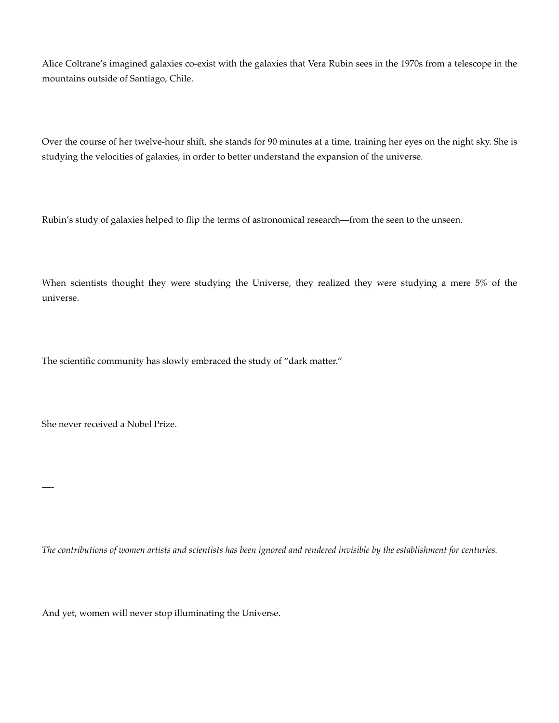Alice Coltrane's imagined galaxies co-exist with the galaxies that Vera Rubin sees in the 1970s from a telescope in the mountains outside of Santiago, Chile.

Over the course of her twelve-hour shift, she stands for 90 minutes at a time, training her eyes on the night sky. She is studying the velocities of galaxies, in order to better understand the expansion of the universe.

Rubin's study of galaxies helped to flip the terms of astronomical research—from the seen to the unseen.

When scientists thought they were studying the Universe, they realized they were studying a mere 5% of the universe.

The scientific community has slowly embraced the study of "dark matter."

She never received a Nobel Prize.

—-

The contributions of women artists and scientists has been ignored and rendered invisible by the establishment for centuries.

And yet, women will never stop illuminating the Universe.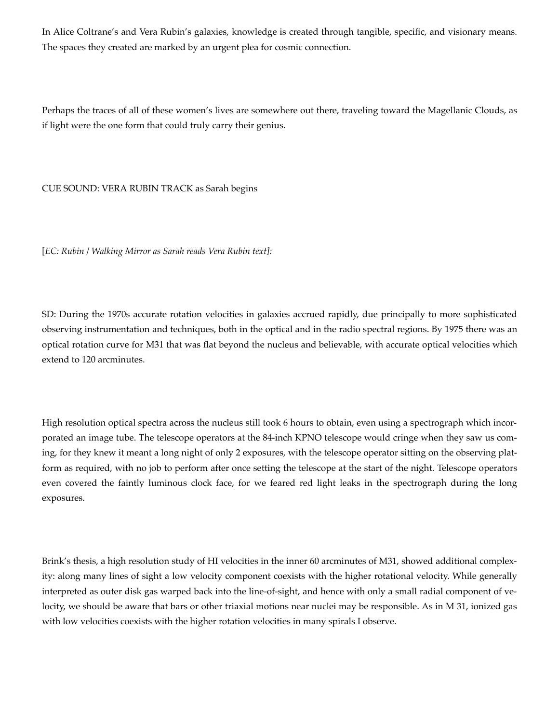In Alice Coltrane's and Vera Rubin's galaxies, knowledge is created through tangible, specific, and visionary means. The spaces they created are marked by an urgent plea for cosmic connection.

Perhaps the traces of all of these women's lives are somewhere out there, traveling toward the Magellanic Clouds, as if light were the one form that could truly carry their genius.

CUE SOUND: VERA RUBIN TRACK as Sarah begins

[*EC: Rubin / Walking Mirror as Sarah reads Vera Rubin text]:*

SD: During the 1970s accurate rotation velocities in galaxies accrued rapidly, due principally to more sophisticated observing instrumentation and techniques, both in the optical and in the radio spectral regions. By 1975 there was an optical rotation curve for M31 that was flat beyond the nucleus and believable, with accurate optical velocities which extend to 120 arcminutes.

High resolution optical spectra across the nucleus still took 6 hours to obtain, even using a spectrograph which incorporated an image tube. The telescope operators at the 84-inch KPNO telescope would cringe when they saw us coming, for they knew it meant a long night of only 2 exposures, with the telescope operator sitting on the observing platform as required, with no job to perform after once setting the telescope at the start of the night. Telescope operators even covered the faintly luminous clock face, for we feared red light leaks in the spectrograph during the long exposures.

Brink's thesis, a high resolution study of HI velocities in the inner 60 arcminutes of M31, showed additional complexity: along many lines of sight a low velocity component coexists with the higher rotational velocity. While generally interpreted as outer disk gas warped back into the line-of-sight, and hence with only a small radial component of velocity, we should be aware that bars or other triaxial motions near nuclei may be responsible. As in M 31, ionized gas with low velocities coexists with the higher rotation velocities in many spirals I observe.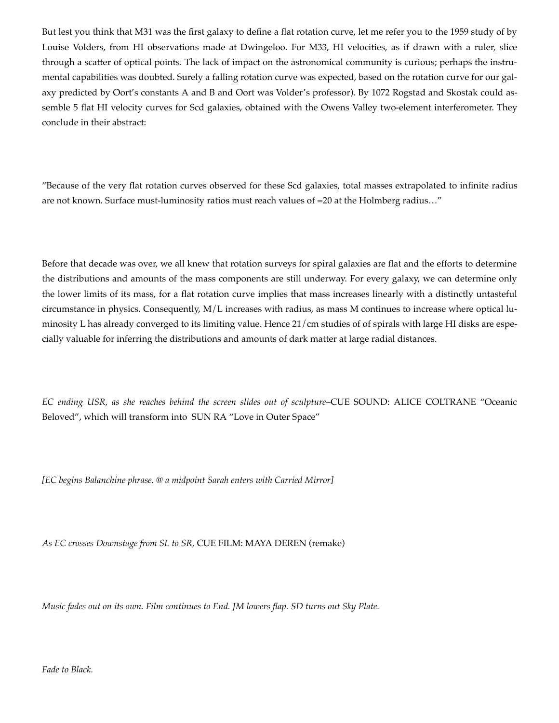But lest you think that M31 was the first galaxy to define a flat rotation curve, let me refer you to the 1959 study of by Louise Volders, from HI observations made at Dwingeloo. For M33, HI velocities, as if drawn with a ruler, slice through a scatter of optical points. The lack of impact on the astronomical community is curious; perhaps the instrumental capabilities was doubted. Surely a falling rotation curve was expected, based on the rotation curve for our galaxy predicted by Oort's constants A and B and Oort was Volder's professor). By 1072 Rogstad and Skostak could assemble 5 flat HI velocity curves for Scd galaxies, obtained with the Owens Valley two-element interferometer. They conclude in their abstract:

"Because of the very flat rotation curves observed for these Scd galaxies, total masses extrapolated to infinite radius are not known. Surface must-luminosity ratios must reach values of =20 at the Holmberg radius…"

Before that decade was over, we all knew that rotation surveys for spiral galaxies are flat and the efforts to determine the distributions and amounts of the mass components are still underway. For every galaxy, we can determine only the lower limits of its mass, for a flat rotation curve implies that mass increases linearly with a distinctly untasteful circumstance in physics. Consequently, M/L increases with radius, as mass M continues to increase where optical luminosity L has already converged to its limiting value. Hence 21/cm studies of of spirals with large HI disks are especially valuable for inferring the distributions and amounts of dark matter at large radial distances.

*EC ending USR, as she reaches behind the screen slides out of sculpture*–CUE SOUND: ALICE COLTRANE "Oceanic Beloved", which will transform into SUN RA "Love in Outer Space"

*[EC begins Balanchine phrase. @ a midpoint Sarah enters with Carried Mirror]*

*As EC crosses Downstage from SL to SR,* CUE FILM: MAYA DEREN (remake)

*Music fades out on its own. Film continues to End. JM lowers flap. SD turns out Sky Plate.*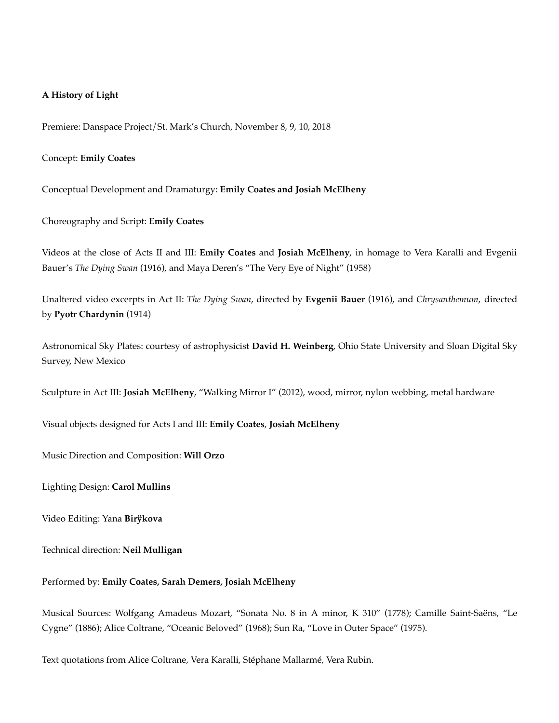#### **A History of Light**

Premiere: Danspace Project/St. Mark's Church, November 8, 9, 10, 2018

#### Concept: **Emily Coates**

Conceptual Development and Dramaturgy: **Emily Coates and Josiah McElheny**

Choreography and Script: **Emily Coates**

Videos at the close of Acts II and III: **Emily Coates** and **Josiah McElheny**, in homage to Vera Karalli and Evgenii Bauer's *The Dying Swan* (1916), and Maya Deren's "The Very Eye of Night" (1958)

Unaltered video excerpts in Act II: *The Dying Swan*, directed by **Evgenii Bauer** (1916), and *Chrysanthemum*, directed by **Pyotr Chardynin** (1914)

Astronomical Sky Plates: courtesy of astrophysicist **David H. Weinberg**, Ohio State University and Sloan Digital Sky Survey, New Mexico

Sculpture in Act III: **Josiah McElheny**, "Walking Mirror I" (2012), wood, mirror, nylon webbing, metal hardware

Visual objects designed for Acts I and III: **Emily Coates**, **Josiah McElheny**

Music Direction and Composition: **Will Orzo**

Lighting Design: **Carol Mullins**

Video Editing: Yana **Birÿkova**

Technical direction: **Neil Mulligan**

#### Performed by: **Emily Coates, Sarah Demers, Josiah McElheny**

Musical Sources: Wolfgang Amadeus Mozart, "Sonata No. 8 in A minor, K 310" (1778); Camille Saint-Saëns, "Le Cygne" (1886); Alice Coltrane, "Oceanic Beloved" (1968); Sun Ra, "Love in Outer Space" (1975).

Text quotations from Alice Coltrane, Vera Karalli, Stéphane Mallarmé, Vera Rubin.